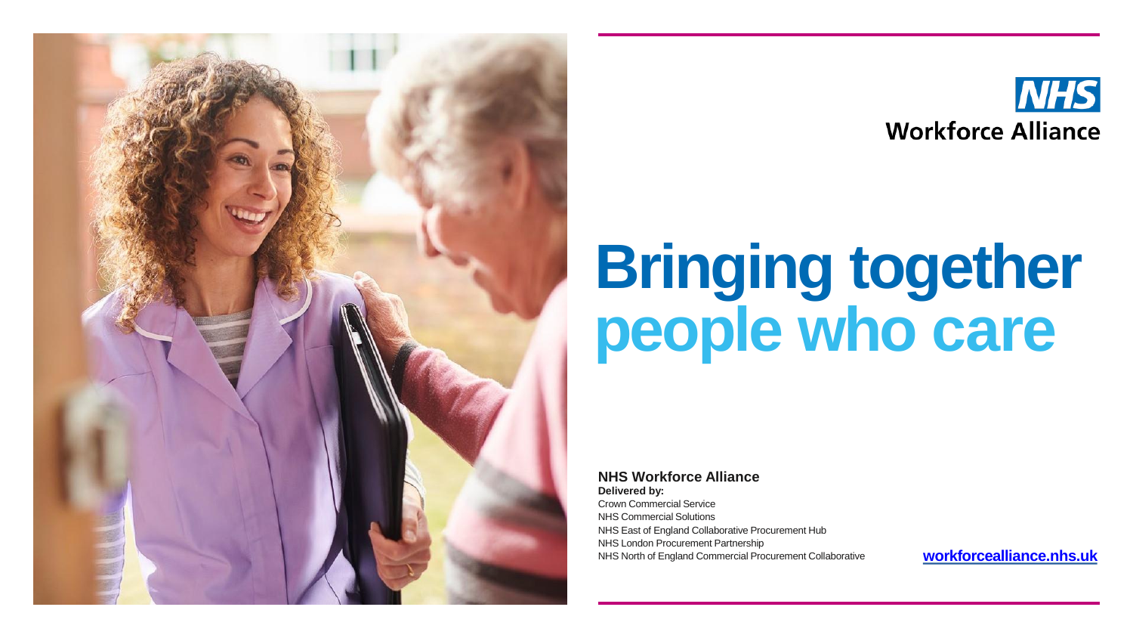



## **Bringing together people who care**

**NHS Workforce Alliance**

**Delivered by:** Crown Commercial Service NHS Commercial Solutions NHS East of England Collaborative Procurement Hub NHS London Procurement Partnership NHS North of England Commercial Procurement Collaborative

**[workforcealliance.nhs.uk](http://workforcealliance.nhs.uk/)**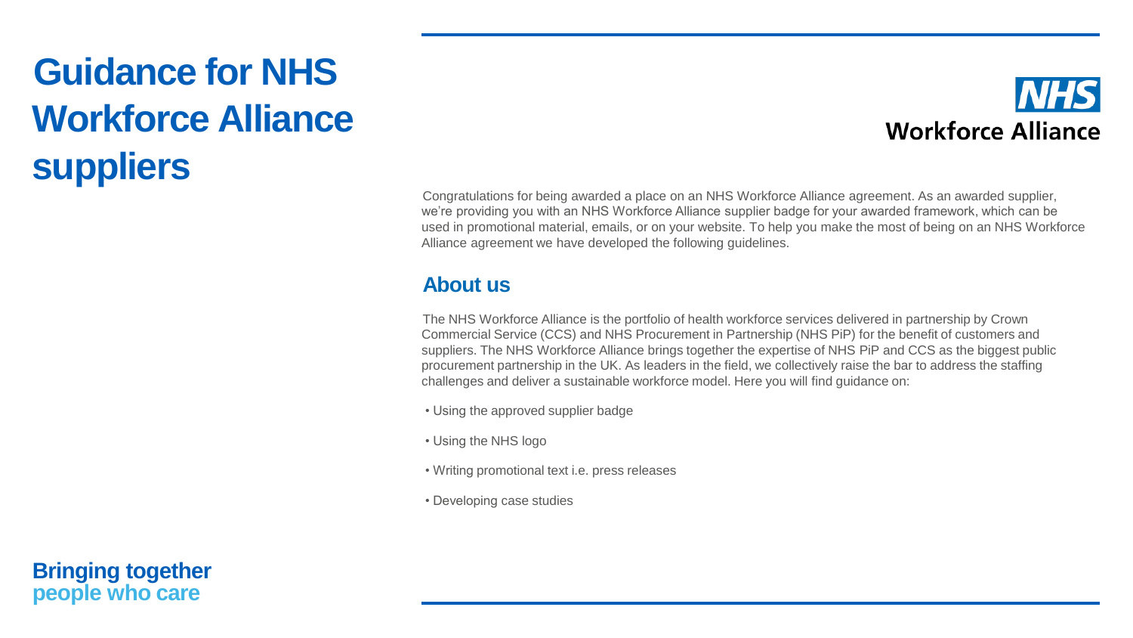### **Guidance for NHS Workforce Alliance suppliers**



Congratulations for being awarded a place on an NHS Workforce Alliance agreement. As an awarded supplier, we're providing you with an NHS Workforce Alliance supplier badge for your awarded framework, which can be used in promotional material, emails, or on your website. To help you make the most of being on an NHS Workforce Alliance agreement we have developed the following guidelines.

### **About us**

The NHS Workforce Alliance is the portfolio of health workforce services delivered in partnership by Crown Commercial Service (CCS) and NHS Procurement in Partnership (NHS PiP) for the benefit of customers and suppliers. The NHS Workforce Alliance brings together the expertise of NHS PiP and CCS as the biggest public procurement partnership in the UK. As leaders in the field, we collectively raise the bar to address the staffing challenges and deliver a sustainable workforce model. Here you will find guidance on:

- Using the approved supplier badge
- Using the NHS logo
- Writing promotional text i.e. press releases
- Developing case studies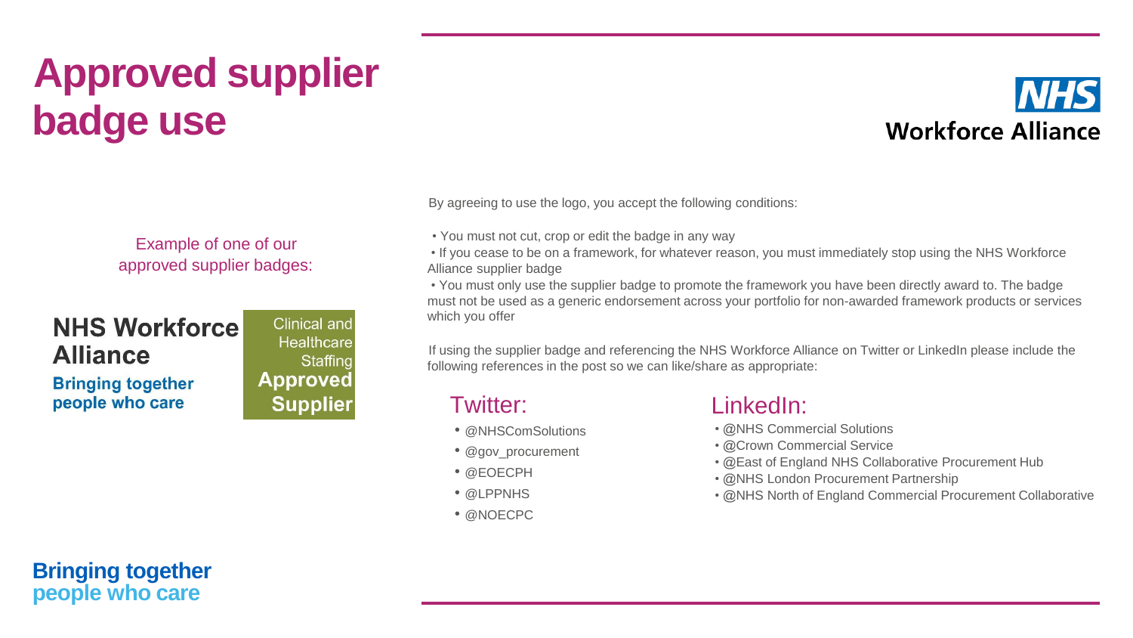## **Approved supplier badge use**

Example of one of our approved supplier badges:

### **NHS Workforce Alliance**

**Bringing together** people who care

**Clinical and** Healthcare Staffing **Approved Supplier**  By agreeing to use the logo, you accept the following conditions:

• You must not cut, crop or edit the badge in any way

• If you cease to be on a framework, for whatever reason, you must immediately stop using the NHS Workforce Alliance supplier badge

• You must only use the supplier badge to promote the framework you have been directly award to. The badge must not be used as a generic endorsement across your portfolio for non-awarded framework products or services which you offer

If using the supplier badge and referencing the NHS Workforce Alliance on Twitter or LinkedIn please include the following references in the post so we can like/share as appropriate:

### Twitter:

- @NHSComSolutions
- @gov\_procurement
- @EOECPH
- @LPPNHS
- @NOECPC

### LinkedIn:

- @NHS Commercial Solutions
- @Crown Commercial Service
- @East of England NHS Collaborative Procurement Hub
- @NHS London Procurement Partnership
- @NHS North of England Commercial Procurement Collaborative

**Workforce Alliance**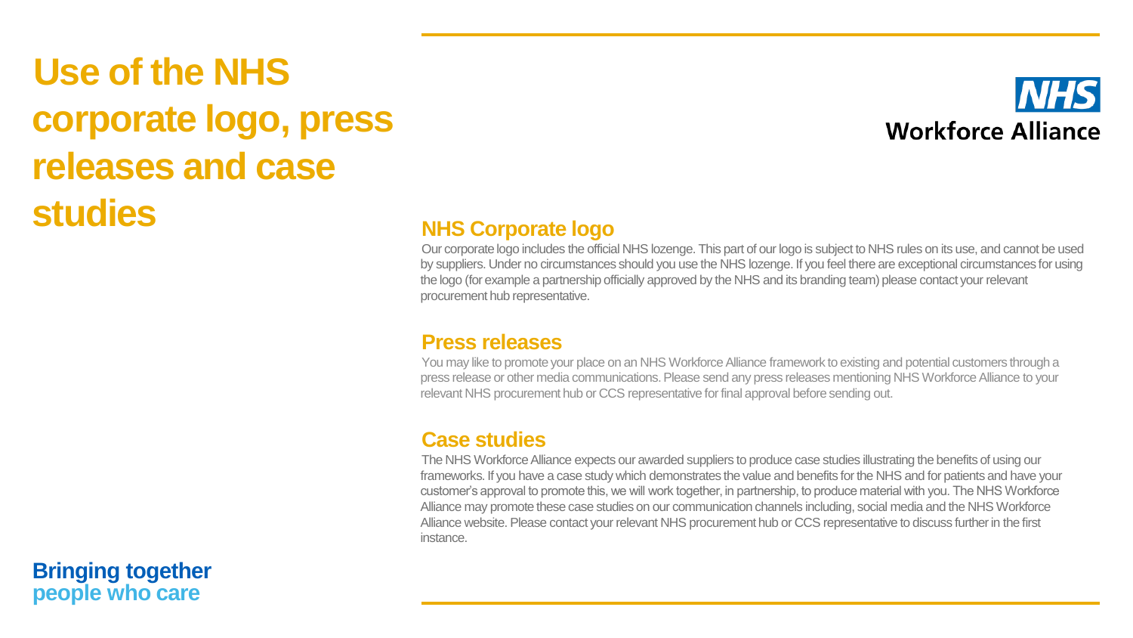### **Use of the NHS corporate logo, press releases and case Studies NHS Corporate logo**



Our corporate logo includes the official NHS lozenge. This part of our logo is subject to NHS rules on its use, and cannot be used by suppliers. Under no circumstances should you use the NHS lozenge. If you feel there are exceptional circumstances for using the logo (for example a partnership officially approved by the NHS and its branding team) please contact your relevant procurement hub representative.

#### **Press releases**

You may like to promote your place on an NHS Workforce Alliance framework to existing and potential customers through a press release or other media communications. Please send any press releases mentioning NHS Workforce Alliance to your relevant NHS procurement hub or CCS representative for final approval before sending out.

### **Case studies**

The NHS Workforce Alliance expects our awarded suppliers to produce case studies illustrating the benefits of using our frameworks. If you have a case study which demonstrates the value and benefits for the NHS and for patients and have your customer's approval to promote this, we will work together, in partnership, to produce material with you. The NHS Workforce Alliance may promote these case studies on our communication channels including, social media and the NHS Workforce Alliance website. Please contact your relevant NHS procurement hub or CCS representative to discuss further in the first instance.